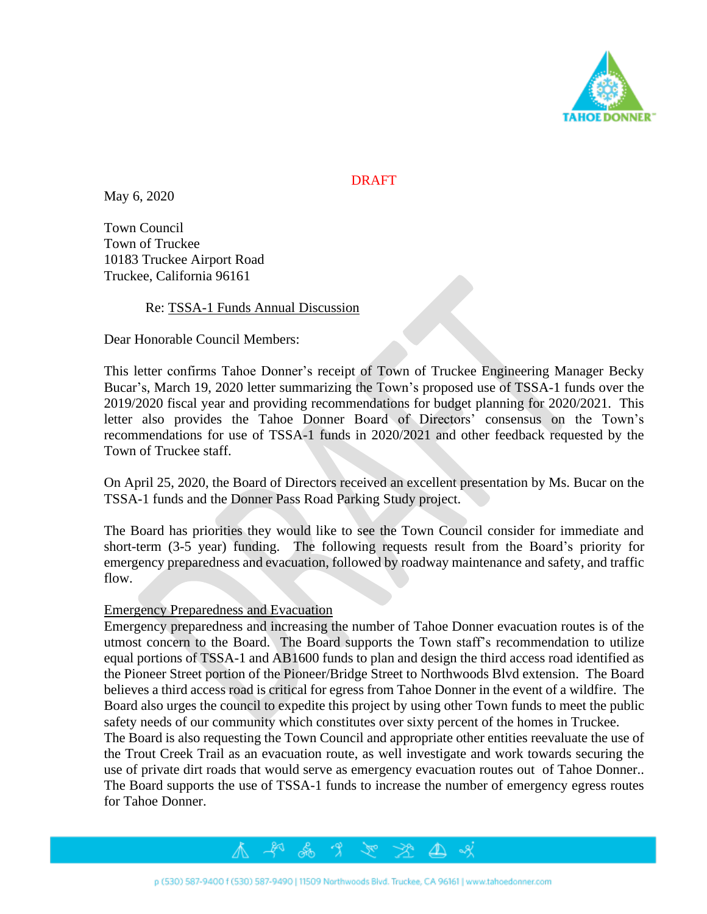

# **DRAFT**

May 6, 2020

Town Council Town of Truckee 10183 Truckee Airport Road Truckee, California 96161

## Re: TSSA-1 Funds Annual Discussion

Dear Honorable Council Members:

This letter confirms Tahoe Donner's receipt of Town of Truckee Engineering Manager Becky Bucar's, March 19, 2020 letter summarizing the Town's proposed use of TSSA-1 funds over the 2019/2020 fiscal year and providing recommendations for budget planning for 2020/2021. This letter also provides the Tahoe Donner Board of Directors' consensus on the Town's recommendations for use of TSSA-1 funds in 2020/2021 and other feedback requested by the Town of Truckee staff.

On April 25, 2020, the Board of Directors received an excellent presentation by Ms. Bucar on the TSSA-1 funds and the Donner Pass Road Parking Study project.

The Board has priorities they would like to see the Town Council consider for immediate and short-term (3-5 year) funding. The following requests result from the Board's priority for emergency preparedness and evacuation, followed by roadway maintenance and safety, and traffic flow.

## Emergency Preparedness and Evacuation

Emergency preparedness and increasing the number of Tahoe Donner evacuation routes is of the utmost concern to the Board. The Board supports the Town staff's recommendation to utilize equal portions of TSSA-1 and AB1600 funds to plan and design the third access road identified as the Pioneer Street portion of the Pioneer/Bridge Street to Northwoods Blvd extension. The Board believes a third access road is critical for egress from Tahoe Donner in the event of a wildfire. The Board also urges the council to expedite this project by using other Town funds to meet the public safety needs of our community which constitutes over sixty percent of the homes in Truckee.

The Board is also requesting the Town Council and appropriate other entities reevaluate the use of the Trout Creek Trail as an evacuation route, as well investigate and work towards securing the use of private dirt roads that would serve as emergency evacuation routes out of Tahoe Donner.. The Board supports the use of TSSA-1 funds to increase the number of emergency egress routes for Tahoe Donner.

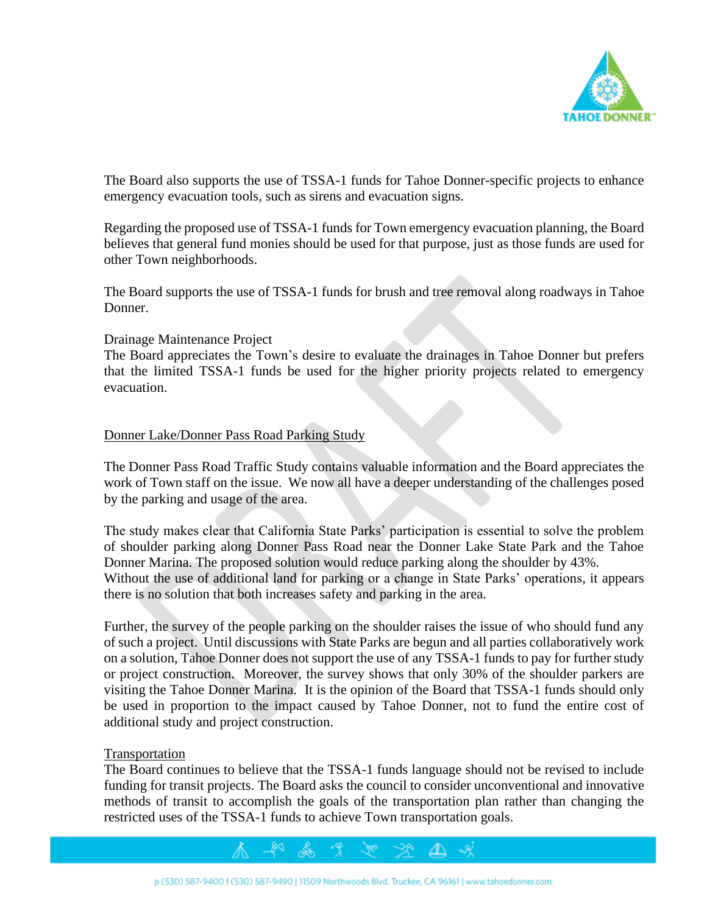

The Board also supports the use of TSSA-1 funds for Tahoe Donner-specific projects to enhance emergency evacuation tools, such as sirens and evacuation signs.

Regarding the proposed use of TSSA-1 funds for Town emergency evacuation planning, the Board believes that general fund monies should be used for that purpose, just as those funds are used for other Town neighborhoods.

The Board supports the use of TSSA-1 funds for brush and tree removal along roadways in Tahoe Donner.

### Drainage Maintenance Project

The Board appreciates the Town's desire to evaluate the drainages in Tahoe Donner but prefers that the limited TSSA-1 funds be used for the higher priority projects related to emergency evacuation.

## Donner Lake/Donner Pass Road Parking Study

The Donner Pass Road Traffic Study contains valuable information and the Board appreciates the work of Town staff on the issue. We now all have a deeper understanding of the challenges posed by the parking and usage of the area.

The study makes clear that California State Parks' participation is essential to solve the problem of shoulder parking along Donner Pass Road near the Donner Lake State Park and the Tahoe Donner Marina. The proposed solution would reduce parking along the shoulder by 43%. Without the use of additional land for parking or a change in State Parks' operations, it appears there is no solution that both increases safety and parking in the area.

Further, the survey of the people parking on the shoulder raises the issue of who should fund any of such a project. Until discussions with State Parks are begun and all parties collaboratively work on a solution, Tahoe Donner does not support the use of any TSSA-1 funds to pay for further study or project construction. Moreover, the survey shows that only 30% of the shoulder parkers are visiting the Tahoe Donner Marina. It is the opinion of the Board that TSSA-1 funds should only be used in proportion to the impact caused by Tahoe Donner, not to fund the entire cost of additional study and project construction.

#### Transportation

The Board continues to believe that the TSSA-1 funds language should not be revised to include funding for transit projects. The Board asks the council to consider unconventional and innovative methods of transit to accomplish the goals of the transportation plan rather than changing the restricted uses of the TSSA-1 funds to achieve Town transportation goals.